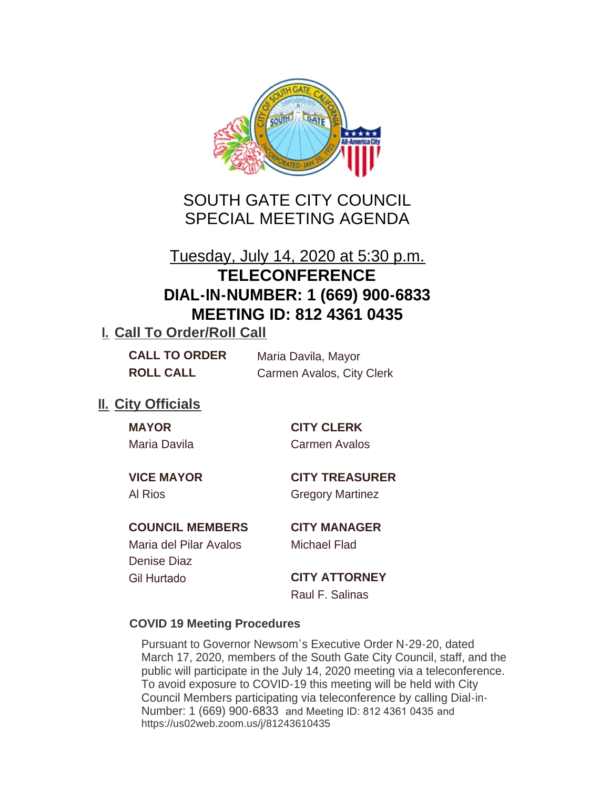

## SOUTH GATE CITY COUNCIL SPECIAL MEETING AGENDA

# Tuesday, July 14, 2020 at 5:30 p.m. **TELECONFERENCE DIAL-IN-NUMBER: 1 (669) 900-6833 MEETING ID: 812 4361 0435**

## **I. Call To Order/Roll Call**

| <b>CALL TO ORDER</b> | Maria Davila, Mayor       |
|----------------------|---------------------------|
| <b>ROLL CALL</b>     | Carmen Avalos, City Clerk |

## **II.** City Officials

**MAYOR CITY CLERK** Maria Davila Carmen Avalos

**VICE MAYOR CITY TREASURER**

Al Rios **Gregory Martinez** 

## **COUNCIL MEMBERS CITY MANAGER**

Maria del Pilar Avalos Michael Flad Denise Diaz Gil Hurtado **CITY ATTORNEY**

Raul F. Salinas

## **COVID 19 Meeting Procedures**

Pursuant to Governor Newsom's Executive Order N-29-20, dated March 17, 2020, members of the South Gate City Council, staff, and the public will participate in the July 14, 2020 meeting via a teleconference. To avoid exposure to COVID-19 this meeting will be held with City Council Members participating via teleconference by calling Dial-in-Number: 1 (669) 900-6833 and Meeting ID: 812 4361 0435 and https://us02web.zoom.us/j/81243610435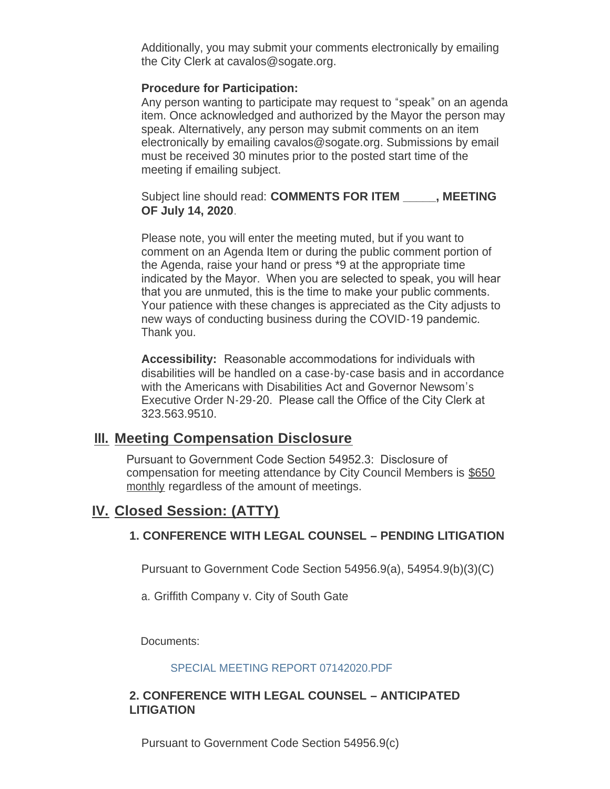Additionally, you may submit your comments electronically by emailing the City Clerk at cavalos@sogate.org.

#### **Procedure for Participation:**

Any person wanting to participate may request to "speak" on an agenda item. Once acknowledged and authorized by the Mayor the person may speak. Alternatively, any person may submit comments on an item electronically by emailing cavalos@sogate.org. Submissions by email must be received 30 minutes prior to the posted start time of the meeting if emailing subject.

Subject line should read: **COMMENTS FOR ITEM \_\_\_\_\_, MEETING OF July 14, 2020**.

Please note, you will enter the meeting muted, but if you want to comment on an Agenda Item or during the public comment portion of the Agenda, raise your hand or press \*9 at the appropriate time indicated by the Mayor. When you are selected to speak, you will hear that you are unmuted, this is the time to make your public comments. Your patience with these changes is appreciated as the City adjusts to new ways of conducting business during the COVID-19 pandemic. Thank you.

**Accessibility:** Reasonable accommodations for individuals with disabilities will be handled on a case-by-case basis and in accordance with the Americans with Disabilities Act and Governor Newsom's Executive Order N-29-20. Please call the Office of the City Clerk at 323.563.9510.

### **Meeting Compensation Disclosure III.**

Pursuant to Government Code Section 54952.3: Disclosure of compensation for meeting attendance by City Council Members is \$650 monthly regardless of the amount of meetings.

## **Closed Session: (ATTY) IV.**

### **1. CONFERENCE WITH LEGAL COUNSEL – PENDING LITIGATION**

Pursuant to Government Code Section 54956.9(a), 54954.9(b)(3)(C)

a. Griffith Company v. City of South Gate

Documents:

#### SPECIAL MEETING REPORT 07142020.PDF

#### **2. CONFERENCE WITH LEGAL COUNSEL – ANTICIPATED LITIGATION**

Pursuant to Government Code Section 54956.9(c)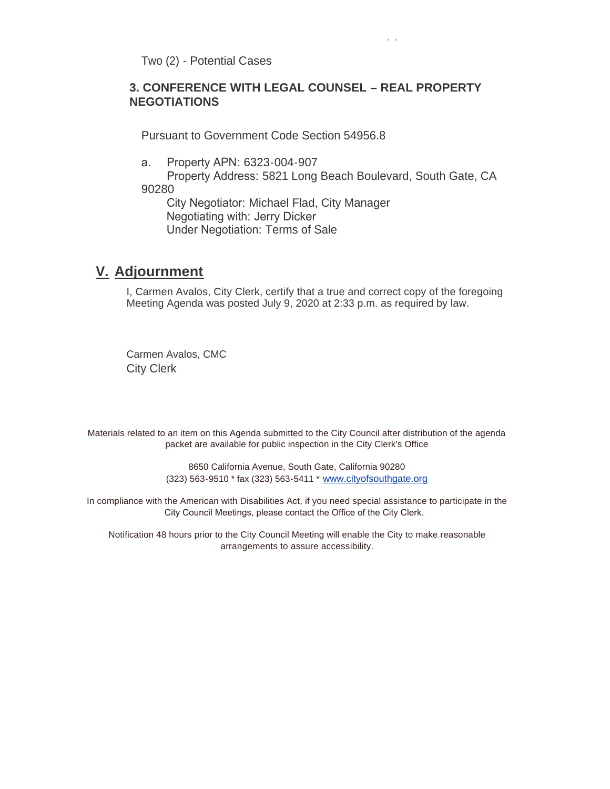Two (2) - Potential Cases

#### **3. CONFERENCE WITH LEGAL COUNSEL – REAL PROPERTY NEGOTIATIONS**

Pursuant to Government Code Section 54956.8

Pursuant to Government Code Section 54956.9(c)

a. Property APN: 6323-004-907

 Property Address: 5821 Long Beach Boulevard, South Gate, CA 90280

 City Negotiator: Michael Flad, City Manager Negotiating with: Jerry Dicker Under Negotiation: Terms of Sale

## **Adjournment V.**

I, Carmen Avalos, City Clerk, certify that a true and correct copy of the foregoing Meeting Agenda was posted July 9, 2020 at 2:33 p.m. as required by law.

Carmen Avalos, CMC City Clerk

Materials related to an item on this Agenda submitted to the City Council after distribution of the agenda packet are available for public inspection in the City Clerk's Office

> 8650 California Avenue, South Gate, California 90280 (323) 563-9510 \* fax (323) 563-5411 \* [www.cityofsouthgate.org](http://www.cityofsouthgate.org/)

In compliance with the American with Disabilities Act, if you need special assistance to participate in the City Council Meetings, please contact the Office of the City Clerk.

Notification 48 hours prior to the City Council Meeting will enable the City to make reasonable arrangements to assure accessibility.